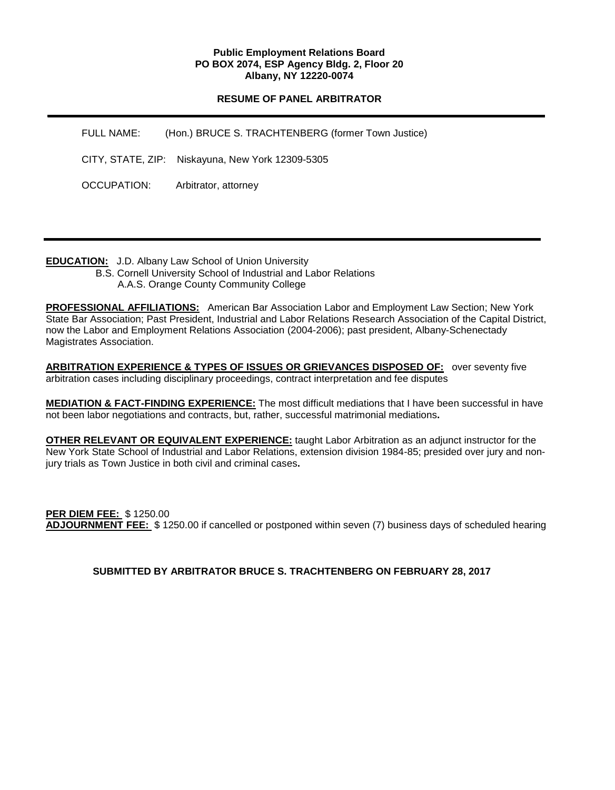### **Public Employment Relations Board PO BOX 2074, ESP Agency Bldg. 2, Floor 20 Albany, NY 12220-0074**

## **RESUME OF PANEL ARBITRATOR**

| FULL NAME:  | (Hon.) BRUCE S. TRACHTENBERG (former Town Justice) |
|-------------|----------------------------------------------------|
|             | CITY, STATE, ZIP: Niskayuna, New York 12309-5305   |
| OCCUPATION: | Arbitrator, attorney                               |

**EDUCATION:** J.D. Albany Law School of Union University

 B.S. Cornell University School of Industrial and Labor Relations A.A.S. Orange County Community College

**PROFESSIONAL AFFILIATIONS:** American Bar Association Labor and Employment Law Section; New York State Bar Association; Past President, Industrial and Labor Relations Research Association of the Capital District, now the Labor and Employment Relations Association (2004-2006); past president, Albany-Schenectady Magistrates Association.

**ARBITRATION EXPERIENCE & TYPES OF ISSUES OR GRIEVANCES DISPOSED OF:** over seventy five arbitration cases including disciplinary proceedings, contract interpretation and fee disputes

**MEDIATION & FACT-FINDING EXPERIENCE:** The most difficult mediations that I have been successful in have not been labor negotiations and contracts, but, rather, successful matrimonial mediations**.**

**OTHER RELEVANT OR EQUIVALENT EXPERIENCE:** taught Labor Arbitration as an adjunct instructor for the New York State School of Industrial and Labor Relations, extension division 1984-85; presided over jury and nonjury trials as Town Justice in both civil and criminal cases**.**

**PER DIEM FEE:** \$ 1250.00 **ADJOURNMENT FEE:** \$ 1250.00 if cancelled or postponed within seven (7) business days of scheduled hearing

**SUBMITTED BY ARBITRATOR BRUCE S. TRACHTENBERG ON FEBRUARY 28, 2017**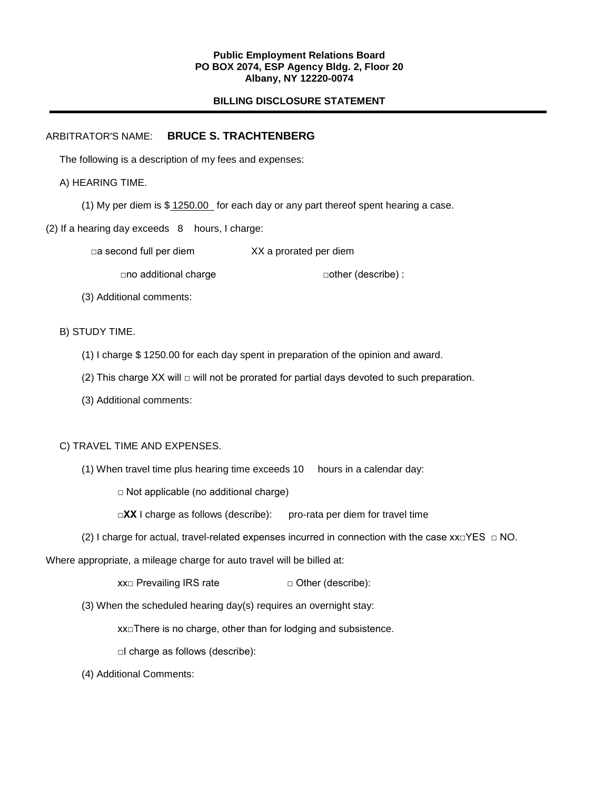#### **Public Employment Relations Board PO BOX 2074, ESP Agency Bldg. 2, Floor 20 Albany, NY 12220-0074**

## **BILLING DISCLOSURE STATEMENT**

## ARBITRATOR'S NAME: **BRUCE S. TRACHTENBERG**

The following is a description of my fees and expenses:

A) HEARING TIME.

(1) My per diem is \$ 1250.00 for each day or any part thereof spent hearing a case.

(2) If a hearing day exceeds 8 hours, I charge:

□a second full per diem XX a prorated per diem

□no additional charge □other (describe) :

(3) Additional comments:

B) STUDY TIME.

(1) I charge \$ 1250.00 for each day spent in preparation of the opinion and award.

(2) This charge XX will  $\Box$  will not be prorated for partial days devoted to such preparation.

(3) Additional comments:

#### C) TRAVEL TIME AND EXPENSES.

(1) When travel time plus hearing time exceeds 10 hours in a calendar day:

 $\Box$  Not applicable (no additional charge)

**□XX** I charge as follows (describe): pro-rata per diem for travel time

(2) I charge for actual, travel-related expenses incurred in connection with the case  $xx \Box YES \Box NO$ .

Where appropriate, a mileage charge for auto travel will be billed at:

 $xx \Box$  Prevailing IRS rate  $\Box$  Other (describe):

(3) When the scheduled hearing day(s) requires an overnight stay:

xx□There is no charge, other than for lodging and subsistence.

□I charge as follows (describe):

(4) Additional Comments: